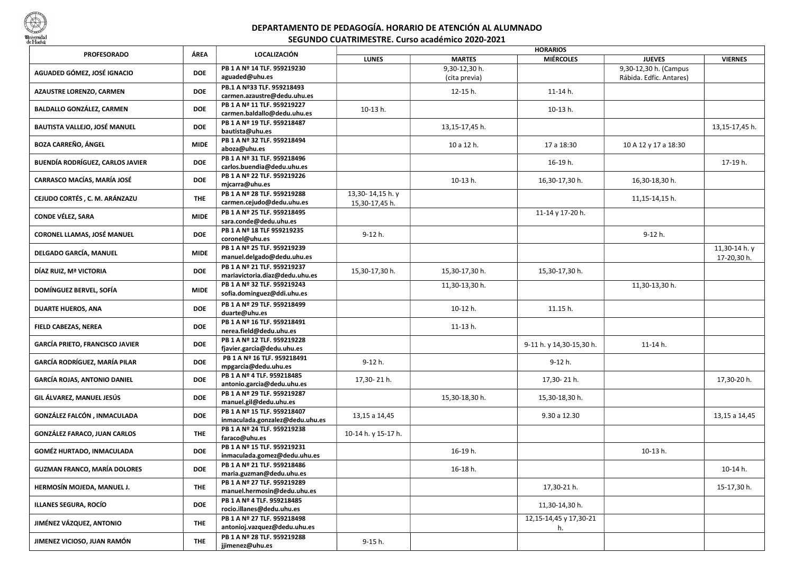

## DEPARTAMENTO DE PEDAGOGÍA. HORARIO DE ATENCIÓN AL ALUMNADO SEGUNDO CUATRIMESTRE. Curso académico 2020-2021

|                                         | ÁREA        | <b>LOCALIZACIÓN</b>                                            | <b>HORARIOS</b>                    |                                |                              |                                                  |                             |  |
|-----------------------------------------|-------------|----------------------------------------------------------------|------------------------------------|--------------------------------|------------------------------|--------------------------------------------------|-----------------------------|--|
| <b>PROFESORADO</b>                      |             |                                                                | <b>LUNES</b>                       | <b>MARTES</b>                  | <b>MIÉRCOLES</b>             | <b>JUEVES</b>                                    | <b>VIERNES</b>              |  |
| AGUADED GÓMEZ, JOSÉ IGNACIO             | <b>DOE</b>  | PB 1 A Nº 14 TLF. 959219230<br>aguaded@uhu.es                  |                                    | 9,30-12,30 h.<br>(cita previa) |                              | 9,30-12,30 h. (Campus<br>Rábida. Edfic. Antares) |                             |  |
| <b>AZAUSTRE LORENZO, CARMEN</b>         | <b>DOE</b>  | PB.1 A Nº33 TLF. 959218493<br>carmen.azaustre@dedu.uhu.es      |                                    | 12-15 h.                       | 11-14 h.                     |                                                  |                             |  |
| <b>BALDALLO GONZÁLEZ, CARMEN</b>        | <b>DOE</b>  | PB 1 A Nª 11 TLF. 959219227<br>carmen.baldallo@dedu.uhu.es     | 10-13 h.                           |                                | 10-13 h.                     |                                                  |                             |  |
| BAUTISTA VALLEJO, JOSÉ MANUEL           | <b>DOE</b>  | PB 1 A Nº 19 TLF. 959218487<br>bautista@uhu.es                 |                                    | 13,15-17,45 h.                 |                              |                                                  | 13,15-17,45 h.              |  |
| <b>BOZA CARREÑO, ÁNGEL</b>              | <b>MIDE</b> | PB 1 A Nº 32 TLF. 959218494<br>aboza@uhu.es                    |                                    | 10 a 12 h.                     | 17 a 18:30                   | 10 A 12 y 17 a 18:30                             |                             |  |
| <b>BUENDÍA RODRÍGUEZ, CARLOS JAVIER</b> | <b>DOE</b>  | PB 1 A Nº 31 TLF. 959218496<br>carlos.buendia@dedu.uhu.es      |                                    |                                | 16-19 h.                     |                                                  | 17-19 h.                    |  |
| CARRASCO MACÍAS, MARÍA JOSÉ             | <b>DOE</b>  | PB 1 A Nº 22 TLF. 959219226<br>mjcarra@uhu.es                  |                                    | 10-13 h.                       | 16,30-17,30 h.               | 16,30-18,30 h.                                   |                             |  |
| CEJUDO CORTÉS, C. M. ARÁNZAZU           | <b>THE</b>  | PB 1 A Nº 28 TLF. 959219288<br>carmen.cejudo@dedu.uhu.es       | 13,30-14,15 h. y<br>15,30-17,45 h. |                                |                              | 11,15-14,15 h.                                   |                             |  |
| <b>CONDE VÉLEZ, SARA</b>                | <b>MIDE</b> | PB 1 A Nº 25 TLF. 959218495<br>sara.conde@dedu.uhu.es          |                                    |                                | 11-14 y 17-20 h.             |                                                  |                             |  |
| CORONEL LLAMAS, JOSÉ MANUEL             | <b>DOE</b>  | PB 1 A Nº 18 TLF 959219235<br>coronel@uhu.es                   | 9-12 h.                            |                                |                              | 9-12 h.                                          |                             |  |
| DELGADO GARCÍA, MANUEL                  | <b>MIDE</b> | PB 1 A Nº 25 TLF. 959219239<br>manuel.delgado@dedu.uhu.es      |                                    |                                |                              |                                                  | 11,30-14 h.y<br>17-20,30 h. |  |
| DÍAZ RUIZ, Mª VICTORIA                  | <b>DOE</b>  | PB 1 A Nº 21 TLF. 959219237<br>mariavictoria.diaz@dedu.uhu.es  | 15,30-17,30 h.                     | 15,30-17,30 h.                 | 15,30-17,30 h.               |                                                  |                             |  |
| DOMÍNGUEZ BERVEL, SOFÍA                 | <b>MIDE</b> | PB 1 A Nº 32 TLF. 959219243<br>sofia.dominguez@ddi.uhu.es      |                                    | 11,30-13,30 h.                 |                              | 11,30-13,30 h.                                   |                             |  |
| <b>DUARTE HUEROS, ANA</b>               | <b>DOE</b>  | PB 1 A Nº 29 TLF. 959218499<br>duarte@uhu.es                   |                                    | 10-12 h.                       | 11.15 h.                     |                                                  |                             |  |
| FIELD CABEZAS, NEREA                    | <b>DOE</b>  | PB 1 A Nº 16 TLF. 959218491<br>nerea.field@dedu.uhu.es         |                                    | 11-13 h.                       |                              |                                                  |                             |  |
| <b>GARCÍA PRIETO, FRANCISCO JAVIER</b>  | <b>DOE</b>  | PB 1 A Nº 12 TLF. 959219228<br>fjavier.garcia@dedu.uhu.es      |                                    |                                | 9-11 h. y 14,30-15,30 h.     | 11-14 h.                                         |                             |  |
| GARCÍA RODRÍGUEZ, MARÍA PILAR           | <b>DOE</b>  | PB 1 A Nº 16 TLF. 959218491<br>mpgarcia@dedu.uhu.es            | 9-12 h.                            |                                | 9-12 h.                      |                                                  |                             |  |
| GARCÍA ROJAS, ANTONIO DANIEL            | <b>DOE</b>  | PB 1 A Nº 4 TLF. 959218485<br>antonio.garcia@dedu.uhu.es       | 17,30-21 h.                        |                                | 17,30-21 h.                  |                                                  | 17,30-20 h.                 |  |
| GIL ÁLVAREZ, MANUEL JESÚS               | <b>DOE</b>  | PB 1 A Nº 29 TLF. 959219287<br>manuel.gil@dedu.uhu.es          |                                    | 15,30-18,30 h.                 | 15,30-18,30 h.               |                                                  |                             |  |
| GONZÁLEZ FALCÓN, INMACULADA             | <b>DOE</b>  | PB 1 A Nº 15 TLF. 959218407<br>inmaculada.gonzalez@dedu.uhu.es | 13,15 a 14,45                      |                                | 9.30 a 12.30                 |                                                  | 13,15 a 14,45               |  |
| <b>GONZÁLEZ FARACO, JUAN CARLOS</b>     | <b>THE</b>  | PB 1 A Nº 24 TLF. 959219238<br>faraco@uhu.es                   | 10-14 h. y 15-17 h.                |                                |                              |                                                  |                             |  |
| <b>GOMÉZ HURTADO, INMACULADA</b>        | <b>DOE</b>  | PB 1 A Nº 15 TLF. 959219231<br>inmaculada.gomez@dedu.uhu.es    |                                    | 16-19 h.                       |                              | 10-13 h.                                         |                             |  |
| <b>GUZMAN FRANCO, MARÍA DOLORES</b>     | <b>DOE</b>  | PB 1 A Nº 21 TLF. 959218486<br>maria.guzman@dedu.uhu.es        |                                    | 16-18 h.                       |                              |                                                  | 10-14 h.                    |  |
| HERMOSÍN MOJEDA, MANUEL J.              | <b>THE</b>  | PB 1 A Nº 27 TLF. 959219289<br>manuel.hermosin@dedu.uhu.es     |                                    |                                | 17,30-21 h.                  |                                                  | 15-17,30 h.                 |  |
| ILLANES SEGURA, ROCÍO                   | <b>DOE</b>  | PB 1 A Nº 4 TLF. 959218485<br>rocio.illanes@dedu.uhu.es        |                                    |                                | 11,30-14,30 h.               |                                                  |                             |  |
| JIMÉNEZ VÁZQUEZ, ANTONIO                | <b>THE</b>  | PB 1 A Nº 27 TLF. 959218498<br>antonioj.vazquez@dedu.uhu.es    |                                    |                                | 12,15-14,45 y 17,30-21<br>h. |                                                  |                             |  |
| JIMENEZ VICIOSO, JUAN RAMÓN             | <b>THE</b>  | PB 1 A Nº 28 TLF. 959219288<br>jjimenez@uhu.es                 | 9-15 h.                            |                                |                              |                                                  |                             |  |